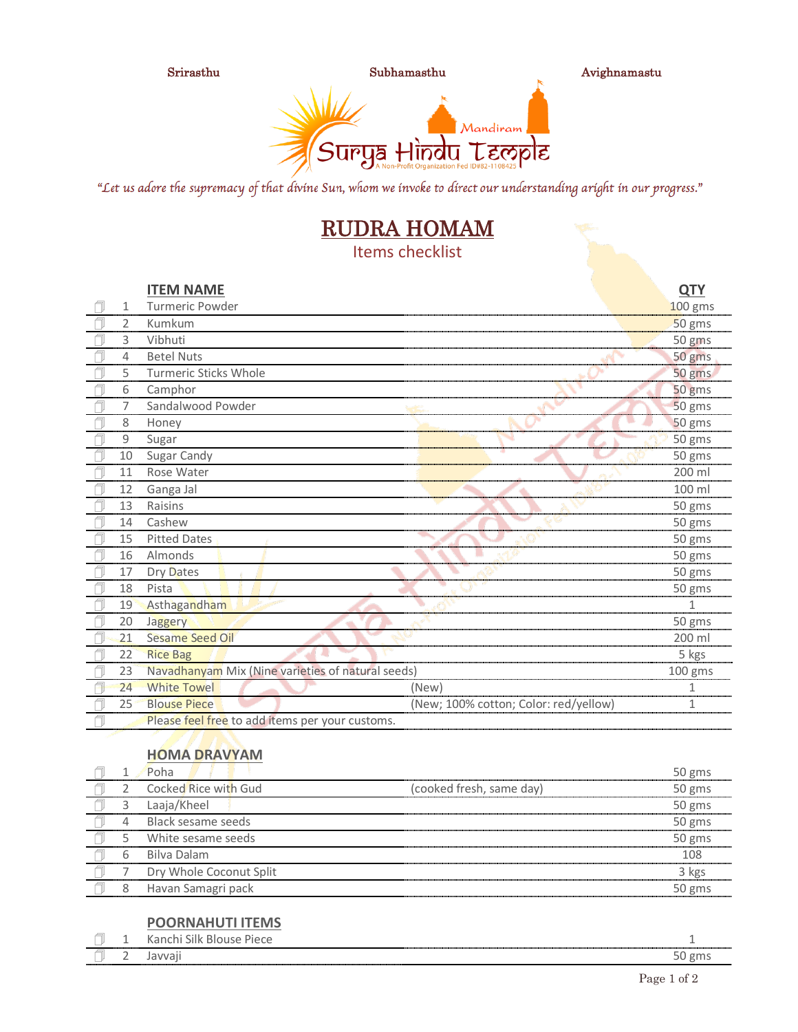

"Let us adore the supremacy of that divine Sun, whom we invoke to direct our understanding aright in our progress."

# RUDRA HOMAM

Items checklist

|                | <b>ITEM NAME</b>                                  |                                       | <b>QTY</b> |
|----------------|---------------------------------------------------|---------------------------------------|------------|
| 1              | <b>Turmeric Powder</b>                            |                                       | 100 gms    |
| $\overline{2}$ | Kumkum                                            |                                       | 50 gms     |
| 3              | Vibhuti                                           |                                       | 50 gms     |
| 4              | <b>Betel Nuts</b>                                 |                                       | 50 gms     |
| 5              | <b>Turmeric Sticks Whole</b>                      |                                       | 50 gms     |
| 6              | Camphor                                           |                                       | 50 gms     |
| 7              | Sandalwood Powder                                 |                                       | 50 gms     |
| 8              | Honey                                             |                                       | 50 gms     |
| 9              | Sugar                                             |                                       | 50 gms     |
| 10             | Sugar Candy                                       |                                       | 50 gms     |
| 11             | Rose Water                                        |                                       | 200 ml     |
| 12             | Ganga Jal                                         |                                       | 100 ml     |
| 13             | Raisins                                           |                                       | 50 gms     |
| 14             | Cashew                                            |                                       | 50 gms     |
| 15             | <b>Pitted Dates</b>                               |                                       | 50 gms     |
| 16             | Almonds                                           |                                       | 50 gms     |
| 17             | Dry Dates                                         |                                       | 50 gms     |
| 18             | Pista                                             |                                       | 50 gms     |
| 19             | Asthagandham                                      |                                       | 1          |
| 20             | Jaggery                                           |                                       | 50 gms     |
| 21             | <b>Sesame Seed Oil</b>                            |                                       | 200 ml     |
| 22             | <b>Rice Bag</b>                                   |                                       | 5 kgs      |
| 23             | Navadhanyam Mix (Nine varieties of natural seeds) |                                       | 100 gms    |
| 24             | <b>White Towel</b>                                | (New)                                 |            |
| 25             | <b>Blouse Piece</b>                               | (New; 100% cotton; Color: red/yellow) | 1          |
|                | Please feel free to add items per your customs.   |                                       |            |

#### **HOMA DRAVYAM**

|   | Poha                    |                          | 50 gms |
|---|-------------------------|--------------------------|--------|
|   | Cocked Rice with Gud    | (cooked fresh, same day) | 50 gms |
|   | Laaja/Kheel             |                          | 50 gms |
|   | Black sesame seeds      |                          | 50 gms |
|   | White sesame seeds      |                          | 50 gms |
| h | Bilva Dalam             |                          | 108    |
|   | Dry Whole Coconut Split |                          | 3 kgs  |
|   | Havan Samagri pack      |                          | 50 gms |
|   |                         |                          |        |

#### **POORNAHUTI ITEMS**

| <br>------------- |  |  |
|-------------------|--|--|
|                   |  |  |